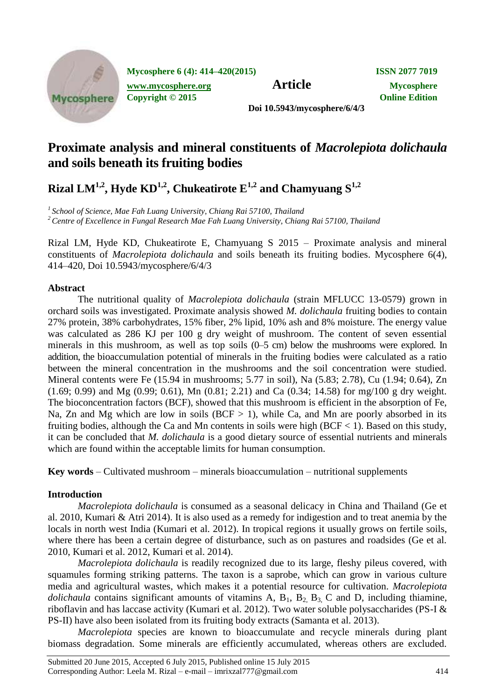

**Mycosphere 6 (4): 414–420(2015) ISSN 2077 7019**

**[www.mycosphere.org](http://www.mycosphere.org/) Article Mycosphere**<br> **Article Mycosphere**<br> **Convright** © 2015 **Copyright © 2015** 

**Doi 10.5943/mycosphere/6/4/3**

# **Proximate analysis and mineral constituents of** *Macrolepiota dolichaula* **and soils beneath its fruiting bodies**

 $\bold{R}$ izal  $\bold{LM}^{1,2}$ ,  $\bold{Hyde\,KD}^{1,2}$ ,  $\bold{Chukeatirote\ E}^{1,2}$  and  $\bold{Chamyuang\ S}^{1,2}$ 

*<sup>1</sup>School of Science, Mae Fah Luang University, Chiang Rai 57100, Thailand*

*<sup>2</sup> Centre of Excellence in Fungal Research Mae Fah Luang University, Chiang Rai 57100, Thailand*

Rizal LM, Hyde KD, Chukeatirote E, Chamyuang S 2015 – Proximate analysis and mineral constituents of *Macrolepiota dolichaula* and soils beneath its fruiting bodies. Mycosphere 6(4), 414–420, Doi 10.5943/mycosphere/6/4/3

# **Abstract**

The nutritional quality of *Macrolepiota dolichaula* (strain MFLUCC 13-0579) grown in orchard soils was investigated. Proximate analysis showed *M. dolichaula* fruiting bodies to contain 27% protein, 38% carbohydrates, 15% fiber, 2% lipid, 10% ash and 8% moisture. The energy value was calculated as 286 KJ per 100 g dry weight of mushroom. The content of seven essential minerals in this mushroom, as well as top soils (0–5 cm) below the mushrooms were explored. In addition, the bioaccumulation potential of minerals in the fruiting bodies were calculated as a ratio between the mineral concentration in the mushrooms and the soil concentration were studied. Mineral contents were Fe (15.94 in mushrooms; 5.77 in soil), Na (5.83; 2.78), Cu (1.94; 0.64), Zn (1.69; 0.99) and Mg (0.99; 0.61), Mn (0.81; 2.21) and Ca (0.34; 14.58) for mg/100 g dry weight. The bioconcentration factors (BCF), showed that this mushroom is efficient in the absorption of Fe, Na, Zn and Mg which are low in soils (BCF  $> 1$ ), while Ca, and Mn are poorly absorbed in its fruiting bodies, although the Ca and Mn contents in soils were high ( $BCF < 1$ ). Based on this study, it can be concluded that *M. dolichaula* is a good dietary source of essential nutrients and minerals which are found within the acceptable limits for human consumption.

**Key words** – Cultivated mushroom – minerals bioaccumulation – nutritional supplements

# **Introduction**

*Macrolepiota dolichaula* is consumed as a seasonal delicacy in China and Thailand (Ge et al. 2010, Kumari & Atri 2014). It is also used as a remedy for indigestion and to treat anemia by the locals in north west India (Kumari et al. 2012). In tropical regions it usually grows on fertile soils, where there has been a certain degree of disturbance, such as on pastures and roadsides (Ge et al. 2010, Kumari et al. 2012, Kumari et al. 2014).

*Macrolepiota dolichaula* is readily recognized due to its large, fleshy pileus covered, with squamules forming striking patterns. The taxon is a saprobe, which can grow in various culture media and agricultural wastes, which makes it a potential resource for cultivation. *Macrolepiota dolichaula* contains significant amounts of vitamins A,  $B_1$ ,  $B_2$ ,  $B_3$ , C and D, including thiamine, riboflavin and has laccase activity (Kumari et al. 2012). Two water soluble polysaccharides (PS-I & PS-II) have also been isolated from its fruiting body extracts (Samanta et al. 2013).

*Macrolepiota* species are known to bioaccumulate and recycle minerals during plant biomass degradation. Some minerals are efficiently accumulated, whereas others are excluded.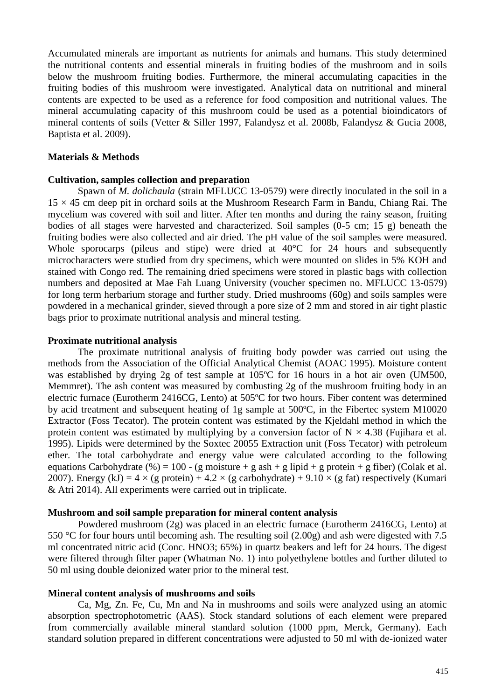Accumulated minerals are important as nutrients for animals and humans. This study determined the nutritional contents and essential minerals in fruiting bodies of the mushroom and in soils below the mushroom fruiting bodies. Furthermore, the mineral accumulating capacities in the fruiting bodies of this mushroom were investigated. Analytical data on nutritional and mineral contents are expected to be used as a reference for food composition and nutritional values. The mineral accumulating capacity of this mushroom could be used as a potential bioindicators of mineral contents of soils (Vetter & Siller 1997, Falandysz et al. 2008b, Falandysz & Gucia 2008, Baptista et al. 2009).

### **Materials & Methods**

#### **Cultivation, samples collection and preparation**

Spawn of *M. dolichaula* (strain MFLUCC 13-0579) were directly inoculated in the soil in a  $15 \times 45$  cm deep pit in orchard soils at the Mushroom Research Farm in Bandu, Chiang Rai. The mycelium was covered with soil and litter. After ten months and during the rainy season, fruiting bodies of all stages were harvested and characterized. Soil samples (0-5 cm; 15 g) beneath the fruiting bodies were also collected and air dried. The pH value of the soil samples were measured. Whole sporocarps (pileus and stipe) were dried at 40<sup>o</sup>C for 24 hours and subsequently microcharacters were studied from dry specimens, which were mounted on slides in 5% KOH and stained with Congo red. The remaining dried specimens were stored in plastic bags with collection numbers and deposited at Mae Fah Luang University (voucher specimen no. MFLUCC 13-0579) for long term herbarium storage and further study. Dried mushrooms (60g) and soils samples were powdered in a mechanical grinder, sieved through a pore size of 2 mm and stored in air tight plastic bags prior to proximate nutritional analysis and mineral testing.

#### **Proximate nutritional analysis**

The proximate nutritional analysis of fruiting body powder was carried out using the methods from the Association of the Official Analytical Chemist (AOAC 1995). Moisture content was established by drying 2g of test sample at 105ºC for 16 hours in a hot air oven (UM500, Memmret). The ash content was measured by combusting 2g of the mushroom fruiting body in an electric furnace (Eurotherm 2416CG, Lento) at 505ºC for two hours. Fiber content was determined by acid treatment and subsequent heating of 1g sample at 500ºC, in the Fibertec system M10020 Extractor (Foss Tecator). The protein content was estimated by the Kjeldahl method in which the protein content was estimated by multiplying by a conversion factor of  $N \times 4.38$  (Fujihara et al. 1995). Lipids were determined by the Soxtec 20055 Extraction unit (Foss Tecator) with petroleum ether. The total carbohydrate and energy value were calculated according to the following equations Carbohydrate (%) = 100 - (g moisture + g ash + g lipid + g protein + g fiber) (Colak et al. 2007). Energy (kJ) =  $4 \times (g \text{ protein}) + 4.2 \times (g \text{ carbonydrate}) + 9.10 \times (g \text{ fat})$  respectively (Kumari & Atri 2014). All experiments were carried out in triplicate.

#### **Mushroom and soil sample preparation for mineral content analysis**

Powdered mushroom (2g) was placed in an electric furnace (Eurotherm 2416CG, Lento) at 550 °C for four hours until becoming ash. The resulting soil (2.00g) and ash were digested with 7.5 ml concentrated nitric acid (Conc. HNO3; 65%) in quartz beakers and left for 24 hours. The digest were filtered through filter paper (Whatman No. 1) into polyethylene bottles and further diluted to 50 ml using double deionized water prior to the mineral test.

#### **Mineral content analysis of mushrooms and soils**

Ca, Mg, Zn. Fe, Cu, Mn and Na in mushrooms and soils were analyzed using an atomic absorption spectrophotometric (AAS). Stock standard solutions of each element were prepared from commercially available mineral standard solution (1000 ppm, Merck, Germany). Each standard solution prepared in different concentrations were adjusted to 50 ml with de-ionized water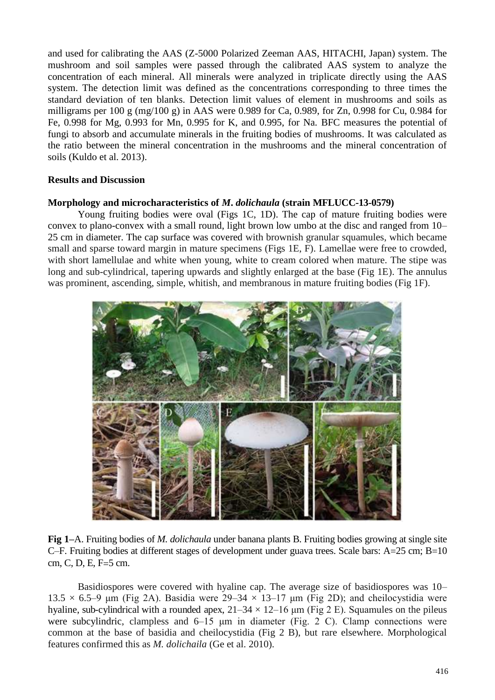and used for calibrating the AAS (Z-5000 Polarized Zeeman AAS, HITACHI, Japan) system. The mushroom and soil samples were passed through the calibrated AAS system to analyze the concentration of each mineral. All minerals were analyzed in triplicate directly using the AAS system. The detection limit was defined as the concentrations corresponding to three times the standard deviation of ten blanks. Detection limit values of element in mushrooms and soils as milligrams per 100 g (mg/100 g) in AAS were 0.989 for Ca, 0.989, for Zn, 0.998 for Cu, 0.984 for Fe, 0.998 for Mg, 0.993 for Mn, 0.995 for K, and 0.995, for Na. BFC measures the potential of fungi to absorb and accumulate minerals in the fruiting bodies of mushrooms. It was calculated as the ratio between the mineral concentration in the mushrooms and the mineral concentration of soils (Kuldo et al. 2013).

### **Results and Discussion**

#### **Morphology and microcharacteristics of** *M***.** *dolichaula* **(strain MFLUCC-13-0579)**

Young fruiting bodies were oval (Figs 1C, 1D). The cap of mature fruiting bodies were convex to plano-convex with a small round, light brown low umbo at the disc and ranged from 10– 25 cm in diameter. The cap surface was covered with brownish granular squamules, which became small and sparse toward margin in mature specimens (Figs 1E, F). Lamellae were free to crowded, with short lamellulae and white when young, white to cream colored when mature. The stipe was long and sub-cylindrical, tapering upwards and slightly enlarged at the base (Fig 1E). The annulus was prominent, ascending, simple, whitish, and membranous in mature fruiting bodies (Fig 1F).



**Fig 1–**A. Fruiting bodies of *M. dolichaula* under banana plants B. Fruiting bodies growing at single site C–F. Fruiting bodies at different stages of development under guava trees. Scale bars:  $A=25$  cm;  $B=10$ cm, C, D, E, F=5 cm.

Basidiospores were covered with hyaline cap. The average size of basidiospores was 10– 13.5  $\times$  6.5–9 μm (Fig 2A). Basidia were 29–34  $\times$  13–17 μm (Fig 2D); and cheilocystidia were hyaline, sub-cylindrical with a rounded apex,  $21-34 \times 12-16$  µm (Fig 2 E). Squamules on the pileus were subcylindric, clampless and 6–15 μm in diameter (Fig. 2 C). Clamp connections were common at the base of basidia and cheilocystidia (Fig 2 B), but rare elsewhere. Morphological features confirmed this as *M. dolichaila* (Ge et al. 2010).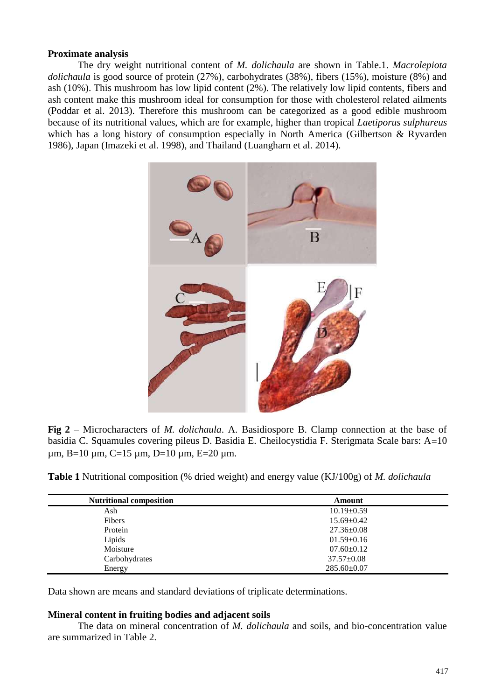# **Proximate analysis**

The dry weight nutritional content of *M. dolichaula* are shown in Table.1. *Macrolepiota dolichaula* is good source of protein (27%), carbohydrates (38%), fibers (15%), moisture (8%) and ash (10%). This mushroom has low lipid content (2%). The relatively low lipid contents, fibers and ash content make this mushroom ideal for consumption for those with cholesterol related ailments (Poddar et al. 2013). Therefore this mushroom can be categorized as a good edible mushroom because of its nutritional values, which are for example, higher than tropical *Laetiporus sulphureus* which has a long history of consumption especially in North America (Gilbertson & Ryvarden 1986), Japan (Imazeki et al. 1998), and Thailand (Luangharn et al. 2014).



**Fig 2** – Microcharacters of *M. dolichaula*. A. Basidiospore B. Clamp connection at the base of basidia C. Squamules covering pileus D. Basidia E. Cheilocystidia F. Sterigmata Scale bars: A=10 um,  $B=10$  um,  $C=15$  um,  $D=10$  um,  $E=20$  um.

**Table 1** Nutritional composition (% dried weight) and energy value (KJ/100g) of *M. dolichaula*

| <b>Nutritional composition</b> | Amount            |  |
|--------------------------------|-------------------|--|
|                                |                   |  |
| Ash                            | $10.19 \pm 0.59$  |  |
| Fibers                         | $15.69 \pm 0.42$  |  |
| Protein                        | $27.36 \pm 0.08$  |  |
| Lipids                         | $01.59 \pm 0.16$  |  |
| Moisture                       | $07.60 \pm 0.12$  |  |
| Carbohydrates                  | $37.57 \pm 0.08$  |  |
| Energy                         | $285.60 \pm 0.07$ |  |

Data shown are means and standard deviations of triplicate determinations.

# **Mineral content in fruiting bodies and adjacent soils**

The data on mineral concentration of *M. dolichaula* and soils, and bio-concentration value are summarized in Table 2.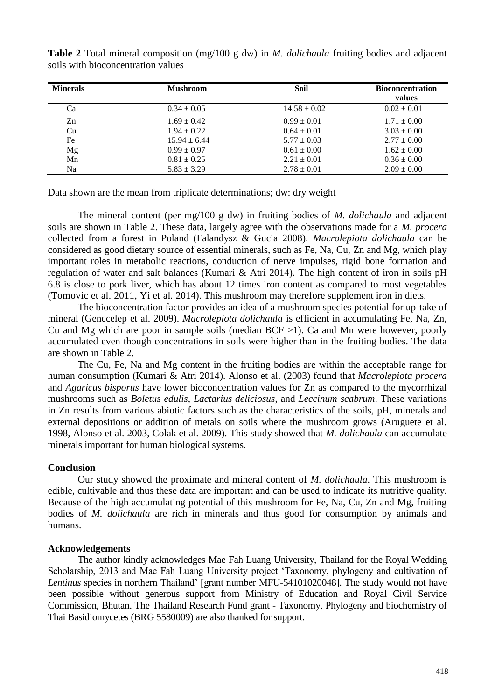| <b>Minerals</b> | <b>Mushroom</b>  | Soil             | <b>Bioconcentration</b><br>values |
|-----------------|------------------|------------------|-----------------------------------|
| Ca              | $0.34 \pm 0.05$  | $14.58 \pm 0.02$ | $0.02 \pm 0.01$                   |
| Zn              | $1.69 \pm 0.42$  | $0.99 \pm 0.01$  | $1.71 \pm 0.00$                   |
| Cu              | $1.94 \pm 0.22$  | $0.64 \pm 0.01$  | $3.03 \pm 0.00$                   |
| Fe              | $15.94 \pm 6.44$ | $5.77 \pm 0.03$  | $2.77 \pm 0.00$                   |
| Mg              | $0.99 \pm 0.97$  | $0.61 \pm 0.00$  | $1.62 \pm 0.00$                   |
| Mn              | $0.81 \pm 0.25$  | $2.21 \pm 0.01$  | $0.36 \pm 0.00$                   |
| Na              | $5.83 \pm 3.29$  | $2.78 \pm 0.01$  | $2.09 \pm 0.00$                   |

**Table 2** Total mineral composition (mg/100 g dw) in *M. dolichaula* fruiting bodies and adjacent soils with bioconcentration values

Data shown are the mean from triplicate determinations; dw: dry weight

The mineral content (per mg/100 g dw) in fruiting bodies of *M. dolichaula* and adjacent soils are shown in Table 2. These data, largely agree with the observations made for a *M. procera* collected from a forest in Poland (Falandysz & Gucia 2008). *Macrolepiota dolichaula* can be considered as good dietary source of essential minerals, such as Fe, Na, Cu, Zn and Mg, which play important roles in metabolic reactions, conduction of nerve impulses, rigid bone formation and regulation of water and salt balances (Kumari & Atri 2014). The high content of iron in soils pH 6.8 is close to pork liver, which has about 12 times iron content as compared to most vegetables (Tomovic et al. 2011, Yi et al. 2014). This mushroom may therefore supplement iron in diets.

The bioconcentration factor provides an idea of a mushroom species potential for up-take of mineral (Genccelep et al. 2009). *Macrolepiota dolichaula* is efficient in accumulating Fe, Na, Zn, Cu and Mg which are poor in sample soils (median  $BCF > 1$ ). Ca and Mn were however, poorly accumulated even though concentrations in soils were higher than in the fruiting bodies. The data are shown in Table 2.

The Cu, Fe, Na and Mg content in the fruiting bodies are within the acceptable range for human consumption (Kumari & Atri 2014). Alonso et al. (2003) found that *Macrolepiota procera* and *Agaricus bisporus* have lower bioconcentration values for Zn as compared to the mycorrhizal mushrooms such as *Boletus edulis*, *Lactarius deliciosus*, and *Leccinum scabrum*. These variations in Zn results from various abiotic factors such as the characteristics of the soils, pH, minerals and external depositions or addition of metals on soils where the mushroom grows (Aruguete et al. 1998, Alonso et al. 2003, Colak et al. 2009). This study showed that *M. dolichaula* can accumulate minerals important for human biological systems.

# **Conclusion**

Our study showed the proximate and mineral content of *M. dolichaula*. This mushroom is edible, cultivable and thus these data are important and can be used to indicate its nutritive quality. Because of the high accumulating potential of this mushroom for Fe, Na, Cu, Zn and Mg, fruiting bodies of *M. dolichaula* are rich in minerals and thus good for consumption by animals and humans.

# **Acknowledgements**

The author kindly acknowledges Mae Fah Luang University, Thailand for the Royal Wedding Scholarship, 2013 and Mae Fah Luang University project 'Taxonomy, phylogeny and cultivation of *Lentinus* species in northern Thailand' [grant number MFU-54101020048]. The study would not have been possible without generous support from Ministry of Education and Royal Civil Service Commission, Bhutan. The Thailand Research Fund grant - Taxonomy, Phylogeny and biochemistry of Thai Basidiomycetes (BRG 5580009) are also thanked for support.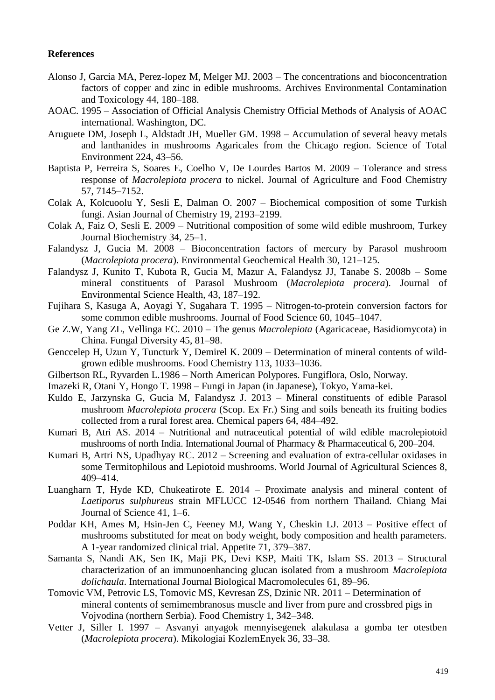### **References**

- Alonso J, Garcia MA, Perez-lopez M, Melger MJ. 2003 The concentrations and bioconcentration factors of copper and zinc in edible mushrooms. Archives Environmental Contamination and Toxicology 44, 180–188.
- AOAC. 1995 Association of Official Analysis Chemistry Official Methods of Analysis of AOAC international. Washington, DC.
- Aruguete DM, Joseph L, Aldstadt JH, Mueller GM. 1998 Accumulation of several heavy metals and lanthanides in mushrooms Agaricales from the Chicago region. Science of Total Environment 224, 43–56.
- Baptista P, Ferreira S, Soares E, Coelho V, De Lourdes Bartos M. 2009 Tolerance and stress response of *Macrolepiota procera* to nickel. Journal of Agriculture and Food Chemistry 57, 7145–7152.
- Colak A, Kolcuoolu Y, Sesli E, Dalman O. 2007 Biochemical composition of some Turkish fungi. Asian Journal of Chemistry 19, 2193–2199.
- Colak A, Faiz O, Sesli E. 2009 Nutritional composition of some wild edible mushroom, Turkey Journal Biochemistry 34, 25–1.
- Falandysz J, Gucia M. 2008 Bioconcentration factors of mercury by Parasol mushroom (*Macrolepiota procera*). Environmental Geochemical Health 30, 121–125.
- Falandysz J, Kunito T, Kubota R, Gucia M, Mazur A, Falandysz JJ, Tanabe S. 2008b Some mineral constituents of Parasol Mushroom (*Macrolepiota procera*). Journal of Environmental Science Health, 43, 187–192.
- Fujihara S, Kasuga A, Aoyagi Y, Sugahara T. 1995 Nitrogen-to-protein conversion factors for some common edible mushrooms. Journal of Food Science 60, 1045–1047.
- Ge Z.W, Yang ZL, Vellinga EC. 2010 The genus *Macrolepiota* (Agaricaceae, Basidiomycota) in China. Fungal Diversity 45, 81–98.
- Genccelep H, Uzun Y, Tuncturk Y, Demirel K. 2009 Determination of mineral contents of wildgrown edible mushrooms. Food Chemistry 113, 1033–1036.
- Gilbertson RL, Ryvarden L.1986 North American Polypores. Fungiflora, Oslo, Norway.
- Imazeki R, Otani Y, Hongo T. 1998 Fungi in Japan (in Japanese), Tokyo, Yama-kei.
- Kuldo E, Jarzynska G, Gucia M, Falandysz J. 2013 Mineral constituents of edible Parasol mushroom *Macrolepiota procera* (Scop. Ex Fr.) Sing and soils beneath its fruiting bodies collected from a rural forest area. Chemical papers 64, 484–492.
- Kumari B, Atri AS. 2014 Nutritional and nutraceutical potential of wild edible macrolepiotoid mushrooms of north India. International Journal of Pharmacy & Pharmaceutical 6, 200–204.
- Kumari B, Artri NS, Upadhyay RC. 2012 Screening and evaluation of extra-cellular oxidases in some Termitophilous and Lepiotoid mushrooms. World Journal of Agricultural Sciences 8, 409–414.
- Luangharn T, Hyde KD, Chukeatirote E. 2014 Proximate analysis and mineral content of *Laetiporus sulphureus* strain MFLUCC 12-0546 from northern Thailand. Chiang Mai Journal of Science 41, 1–6.
- Poddar KH, Ames M, Hsin-Jen C, Feeney MJ, Wang Y, Cheskin LJ. 2013 Positive effect of mushrooms substituted for meat on body weight, body composition and health parameters. A 1-year randomized clinical trial. Appetite 71, 379–387.
- Samanta S, Nandi AK, Sen IK, Maji PK, Devi KSP, Maiti TK, Islam SS. 2013 Structural characterization of an immunoenhancing glucan isolated from a mushroom *Macrolepiota dolichaula*. International Journal Biological Macromolecules 61, 89–96.
- Tomovic VM, Petrovic LS, Tomovic MS, Kevresan ZS, Dzinic NR. 2011 Determination of mineral contents of semimembranosus muscle and liver from pure and crossbred pigs in Vojvodina (northern Serbia). Food Chemistry 1, 342–348.
- Vetter J, Siller I. 1997 Asvanyi anyagok mennyisegenek alakulasa a gomba ter otestben (*Macrolepiota procera*). Mikologiai KozlemEnyek 36, 33–38.